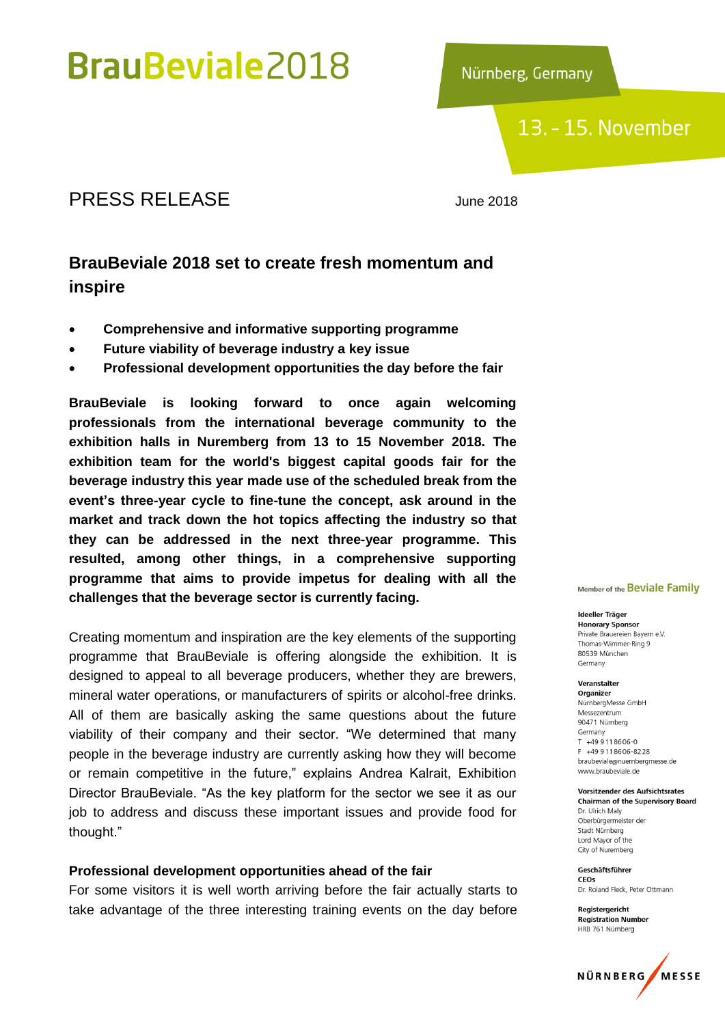Nürnberg, Germany

### 13. - 15. November

### PRESS RELEASE June 2018

### **BrauBeviale 2018 set to create fresh momentum and inspire**

- **Comprehensive and informative supporting programme**
- **Future viability of beverage industry a key issue**
- **Professional development opportunities the day before the fair**

**BrauBeviale is looking forward to once again welcoming professionals from the international beverage community to the exhibition halls in Nuremberg from 13 to 15 November 2018. The exhibition team for the world's biggest capital goods fair for the beverage industry this year made use of the scheduled break from the event's three-year cycle to fine-tune the concept, ask around in the market and track down the hot topics affecting the industry so that they can be addressed in the next three-year programme. This resulted, among other things, in a comprehensive supporting programme that aims to provide impetus for dealing with all the challenges that the beverage sector is currently facing.** 

Creating momentum and inspiration are the key elements of the supporting programme that BrauBeviale is offering alongside the exhibition. It is designed to appeal to all beverage producers, whether they are brewers, mineral water operations, or manufacturers of spirits or alcohol-free drinks. All of them are basically asking the same questions about the future viability of their company and their sector. "We determined that many people in the beverage industry are currently asking how they will become or remain competitive in the future," explains Andrea Kalrait, Exhibition Director BrauBeviale. "As the key platform for the sector we see it as our job to address and discuss these important issues and provide food for thought."

#### **Professional development opportunities ahead of the fair**

For some visitors it is well worth arriving before the fair actually starts to take advantage of the three interesting training events on the day before

#### Member of the Beviale Family

Ideeller Träger **Honorary Sponsor** Private Brauereien Bavern e.V. Thomas-Wimmer-Ring 9 80539 München Germany

#### Veranstalter

Organizer NürnberaMesse GmbH Messezentrum 90471 Nürnberg Germany T +49 9 11 86 06 - 0 F +49 9118606-8228 braubeviale@nuernbergmesse.de www.braubeviale.de

Vorsitzender des Aufsichtsrates **Chairman of the Supervisory Board** Dr. Ulrich Malv Oberbürgermeister der

Stadt Nürnberg Lord Mayor of the City of Nuremberg

Geschäftsführer CEOS Dr. Roland Fleck, Peter Ottmann

Registergericht **Registration Number** HRB 761 Nürnberg

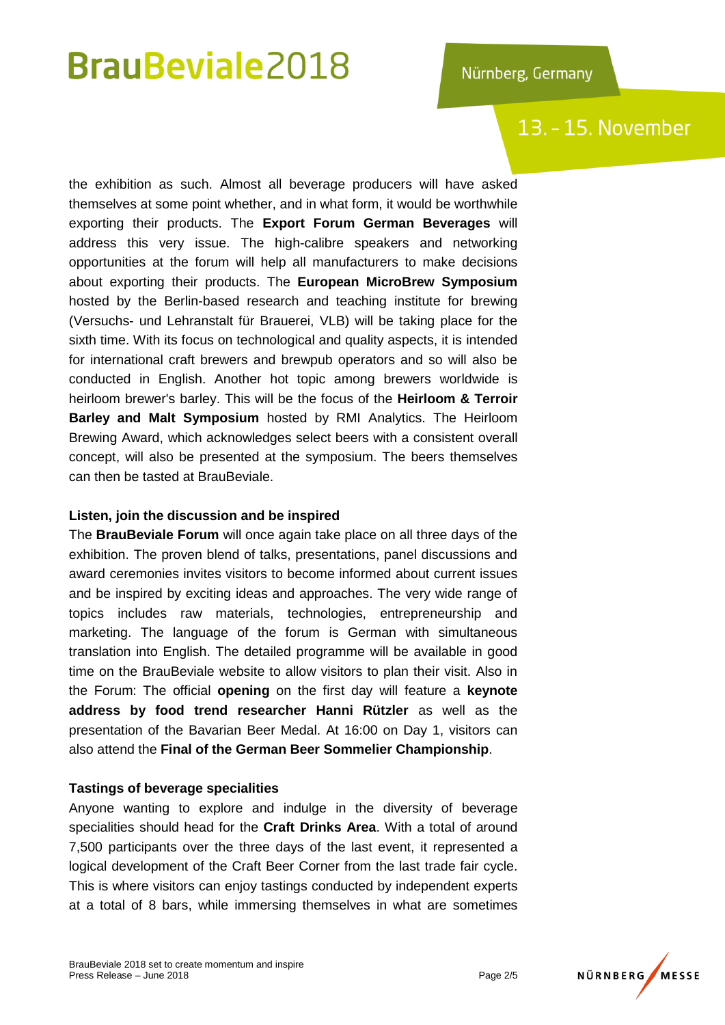## 13. - 15. November

the exhibition as such. Almost all beverage producers will have asked themselves at some point whether, and in what form, it would be worthwhile exporting their products. The **Export Forum German Beverages** will address this very issue. The high-calibre speakers and networking opportunities at the forum will help all manufacturers to make decisions about exporting their products. The **European MicroBrew Symposium** hosted by the Berlin-based research and teaching institute for brewing (Versuchs- und Lehranstalt für Brauerei, VLB) will be taking place for the sixth time. With its focus on technological and quality aspects, it is intended for international craft brewers and brewpub operators and so will also be conducted in English. Another hot topic among brewers worldwide is heirloom brewer's barley. This will be the focus of the **Heirloom & Terroir Barley and Malt Symposium** hosted by RMI Analytics. The Heirloom Brewing Award, which acknowledges select beers with a consistent overall concept, will also be presented at the symposium. The beers themselves can then be tasted at BrauBeviale.

### **Listen, join the discussion and be inspired**

The **BrauBeviale Forum** will once again take place on all three days of the exhibition. The proven blend of talks, presentations, panel discussions and award ceremonies invites visitors to become informed about current issues and be inspired by exciting ideas and approaches. The very wide range of topics includes raw materials, technologies, entrepreneurship and marketing. The language of the forum is German with simultaneous translation into English. The detailed programme will be available in good time on the BrauBeviale website to allow visitors to plan their visit. Also in the Forum: The official **opening** on the first day will feature a **keynote address by food trend researcher Hanni Rützler** as well as the presentation of the Bavarian Beer Medal. At 16:00 on Day 1, visitors can also attend the **Final of the German Beer Sommelier Championship**.

### **Tastings of beverage specialities**

Anyone wanting to explore and indulge in the diversity of beverage specialities should head for the **Craft Drinks Area**. With a total of around 7,500 participants over the three days of the last event, it represented a logical development of the Craft Beer Corner from the last trade fair cycle. This is where visitors can enjoy tastings conducted by independent experts at a total of 8 bars, while immersing themselves in what are sometimes

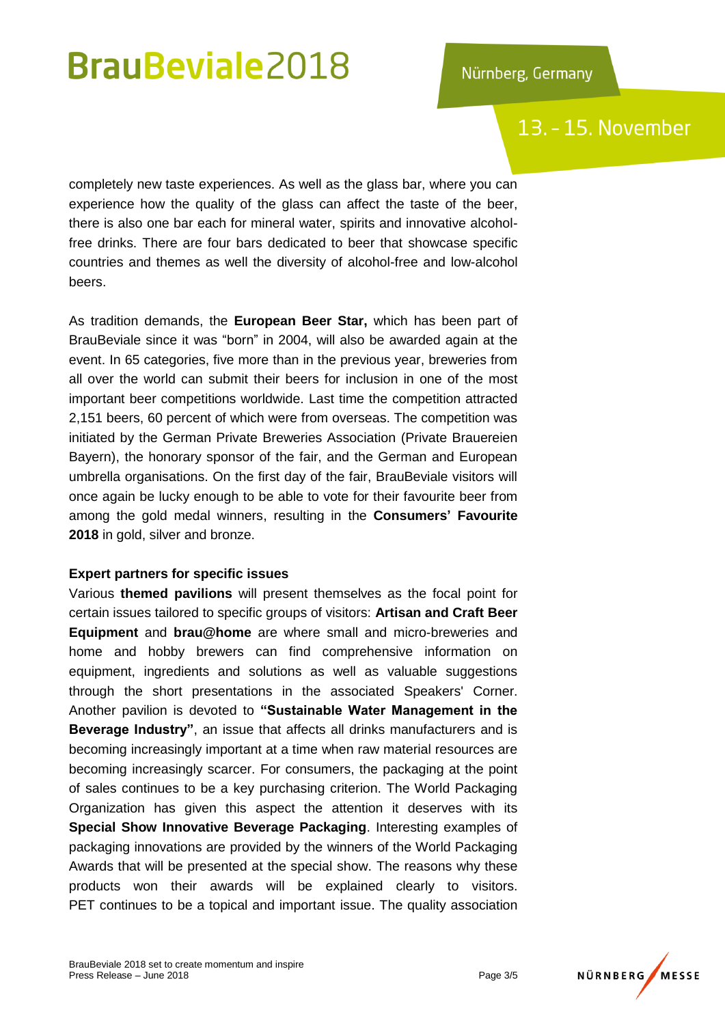## 13. - 15. November

completely new taste experiences. As well as the glass bar, where you can experience how the quality of the glass can affect the taste of the beer, there is also one bar each for mineral water, spirits and innovative alcoholfree drinks. There are four bars dedicated to beer that showcase specific countries and themes as well the diversity of alcohol-free and low-alcohol beers.

As tradition demands, the **European Beer Star,** which has been part of BrauBeviale since it was "born" in 2004, will also be awarded again at the event. In 65 categories, five more than in the previous year, breweries from all over the world can submit their beers for inclusion in one of the most important beer competitions worldwide. Last time the competition attracted 2,151 beers, 60 percent of which were from overseas. The competition was initiated by the German Private Breweries Association (Private Brauereien Bayern), the honorary sponsor of the fair, and the German and European umbrella organisations. On the first day of the fair, BrauBeviale visitors will once again be lucky enough to be able to vote for their favourite beer from among the gold medal winners, resulting in the **Consumers' Favourite 2018** in gold, silver and bronze.

### **Expert partners for specific issues**

Various **themed pavilions** will present themselves as the focal point for certain issues tailored to specific groups of visitors: **Artisan and Craft Beer Equipment** and **brau@home** are where small and micro-breweries and home and hobby brewers can find comprehensive information on equipment, ingredients and solutions as well as valuable suggestions through the short presentations in the associated Speakers' Corner. Another pavilion is devoted to **"Sustainable Water Management in the Beverage Industry"**, an issue that affects all drinks manufacturers and is becoming increasingly important at a time when raw material resources are becoming increasingly scarcer. For consumers, the packaging at the point of sales continues to be a key purchasing criterion. The World Packaging Organization has given this aspect the attention it deserves with its **Special Show Innovative Beverage Packaging**. Interesting examples of packaging innovations are provided by the winners of the World Packaging Awards that will be presented at the special show. The reasons why these products won their awards will be explained clearly to visitors. PET continues to be a topical and important issue. The quality association

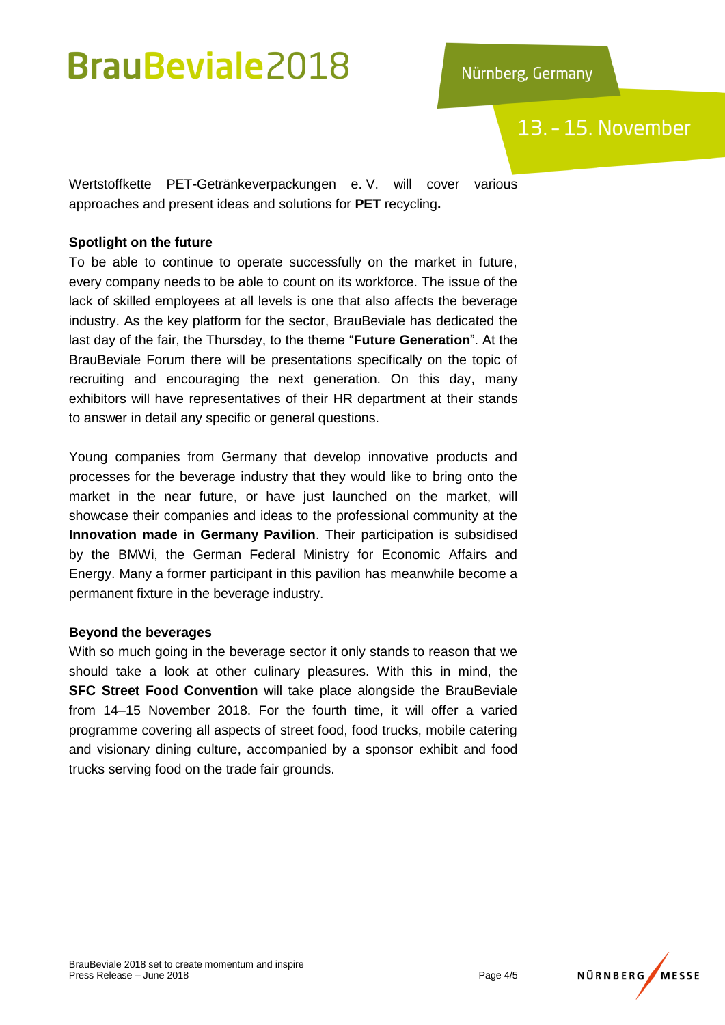13. - 15. November

Wertstoffkette PET-Getränkeverpackungen e. V. will cover various approaches and present ideas and solutions for **PET** recycling**.**

### **Spotlight on the future**

To be able to continue to operate successfully on the market in future, every company needs to be able to count on its workforce. The issue of the lack of skilled employees at all levels is one that also affects the beverage industry. As the key platform for the sector, BrauBeviale has dedicated the last day of the fair, the Thursday, to the theme "**Future Generation**". At the BrauBeviale Forum there will be presentations specifically on the topic of recruiting and encouraging the next generation. On this day, many exhibitors will have representatives of their HR department at their stands to answer in detail any specific or general questions.

Young companies from Germany that develop innovative products and processes for the beverage industry that they would like to bring onto the market in the near future, or have just launched on the market, will showcase their companies and ideas to the professional community at the **Innovation made in Germany Pavilion**. Their participation is subsidised by the BMWi, the German Federal Ministry for Economic Affairs and Energy. Many a former participant in this pavilion has meanwhile become a permanent fixture in the beverage industry.

### **Beyond the beverages**

With so much going in the beverage sector it only stands to reason that we should take a look at other culinary pleasures. With this in mind, the **SFC Street Food Convention** will take place alongside the BrauBeviale from 14–15 November 2018. For the fourth time, it will offer a varied programme covering all aspects of street food, food trucks, mobile catering and visionary dining culture, accompanied by a sponsor exhibit and food trucks serving food on the trade fair grounds.